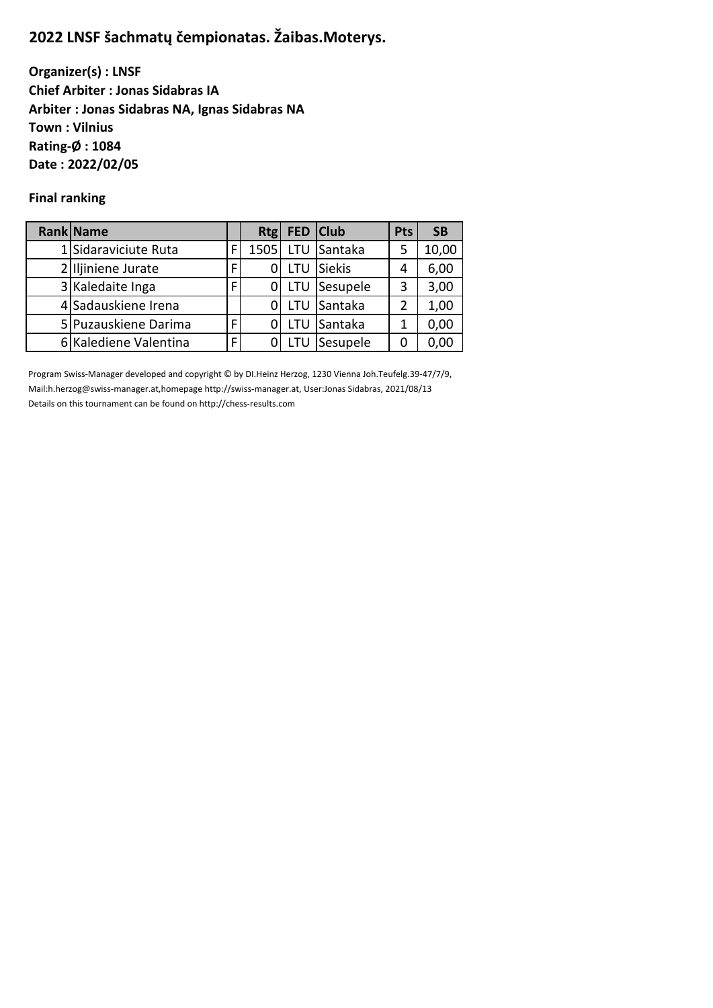# **2022 LNSF šachmatų čempionatas. Žaibas.Moterys.**

**Organizer(s) : LNSF Chief Arbiter : Jonas Sidabras IA Arbiter : Jonas Sidabras NA, Ignas Sidabras NA Town : Vilnius Rating-Ø : 1084 Date : 2022/02/05**

# **Final ranking**

| <b>Rank Name</b>      |   | Rtg  |     | FED Club      | <b>Pts</b> | <b>SB</b> |
|-----------------------|---|------|-----|---------------|------------|-----------|
| 1 Sidaraviciute Ruta  | F | 1505 |     | LTU Santaka   | 5          | 10,00     |
| 2 Iljiniene Jurate    | г |      | LTU | <b>Siekis</b> | 4          | 6,00      |
| 3 Kaledaite Inga      | г |      |     | LTU Sesupele  | 3          | 3,00      |
| 4 Sadauskiene Irena   |   |      |     | LTU Santaka   | 2          | 1,00      |
| 5 Puzauskiene Darima  |   |      |     | LTU Santaka   | 1          | 0,00      |
| 6 Kalediene Valentina | Е |      |     | Sesupele      | Ω          | 0.00      |

Program Swiss-Manager developed and copyright © by DI.Heinz Herzog, 1230 Vienna Joh.Teufelg.39-47/7/9, Mail:h.herzog@swiss-manager.at,homepage http://swiss-manager.at, User:Jonas Sidabras, 2021/08/13 Details on this tournament can be found on http://chess-results.com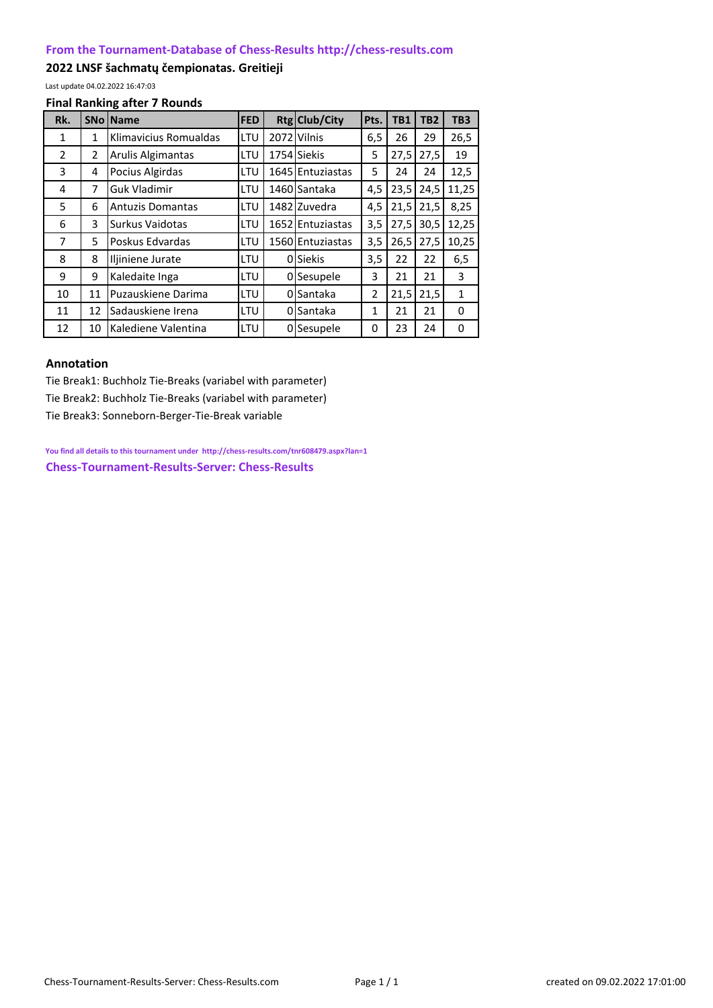## **[From the Tournament-Database of Chess-Results http://chess-results.com](http://chess-results.com/)**

## **2022 LNSF šachmatų čempionatas. Greitieji**

Last update 04.02.2022 16:47:03

#### **Final Ranking after 7 Rounds**

| Rk.            |    | <b>SNo   Name</b>       | <b>FED</b> |      | Rtg Club/City    | Pts. | TB1  | TB <sub>2</sub> | TB <sub>3</sub> |
|----------------|----|-------------------------|------------|------|------------------|------|------|-----------------|-----------------|
| 1              | 1  | Klimavicius Romualdas   | LTU        | 2072 | Vilnis           | 6,5  | 26   | 29              | 26,5            |
| $\overline{2}$ | 2  | Arulis Algimantas       | LTU        |      | 1754 Siekis      | 5    | 27,5 | 27,5            | 19              |
| 3              | 4  | Pocius Algirdas         | LTU        |      | 1645 Entuziastas | 5    | 24   | 24              | 12,5            |
| 4              | 7  | <b>Guk Vladimir</b>     | LTU        |      | 1460 Santaka     | 4,5  | 23,5 | 24,5            | 11,25           |
| 5              | 6  | <b>Antuzis Domantas</b> | LTU        |      | 1482 Zuvedra     | 4,5  | 21,5 | 21,5            | 8,25            |
| 6              | 3  | Surkus Vaidotas         | LTU        |      | 1652 Entuziastas | 3,5  | 27,5 | 30,5            | 12,25           |
| 7              | 5  | Poskus Edvardas         | LTU        |      | 1560 Entuziastas | 3,5  | 26,5 | 27,5            | 10,25           |
| 8              | 8  | Iljiniene Jurate        | LTU        | 0    | <b>Siekis</b>    | 3,5  | 22   | 22              | 6,5             |
| 9              | 9  | Kaledaite Inga          | LTU        | 0    | Sesupele         | 3    | 21   | 21              | 3               |
| 10             | 11 | Puzauskiene Darima      | LTU        | 0    | Santaka          | 2    | 21,5 | 21,5            | $\mathbf{1}$    |
| 11             | 12 | Sadauskiene Irena       | LTU        | 0    | Santaka          | 1    | 21   | 21              | 0               |
| 12             | 10 | Kalediene Valentina     | LTU        | 0    | Sesupele         | 0    | 23   | 24              | 0               |

## **Annotation**

Tie Break1: Buchholz Tie-Breaks (variabel with parameter) Tie Break2: Buchholz Tie-Breaks (variabel with parameter) Tie Break3: Sonneborn-Berger-Tie-Break variable

**[You find all details to this tournament under http://chess-results.com/tnr608479.aspx?lan=1](http://chess-results.com/tnr608479.aspx?lan=1) [Chess-Tournament-Results-Server: Chess-Results](http://chess-results.com/)**